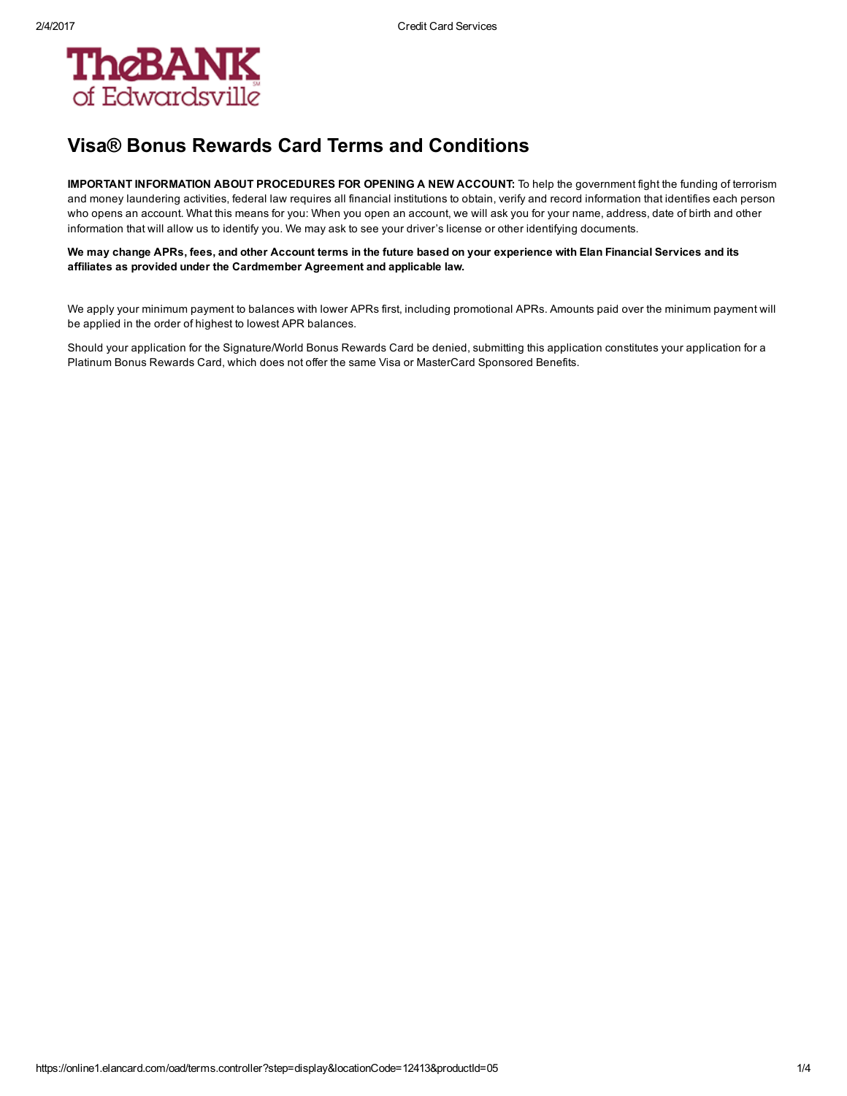

## Visa® Bonus Rewards Card Terms and Conditions

IMPORTANT INFORMATION ABOUT PROCEDURES FOR OPENING A NEW ACCOUNT: To help the government fight the funding of terrorism and money laundering activities, federal law requires all financial institutions to obtain, verify and record information that identifies each person who opens an account. What this means for you: When you open an account, we will ask you for your name, address, date of birth and other information that will allow us to identify you. We may ask to see your driver's license or other identifying documents.

We may change APRs, fees, and other Account terms in the future based on your experience with Elan Financial Services and its affiliates as provided under the Cardmember Agreement and applicable law.

We apply your minimum payment to balances with lower APRs first, including promotional APRs. Amounts paid over the minimum payment will be applied in the order of highest to lowest APR balances.

Should your application for the Signature/World Bonus Rewards Card be denied, submitting this application constitutes your application for a Platinum Bonus Rewards Card, which does not offer the same Visa or MasterCard Sponsored Benefits.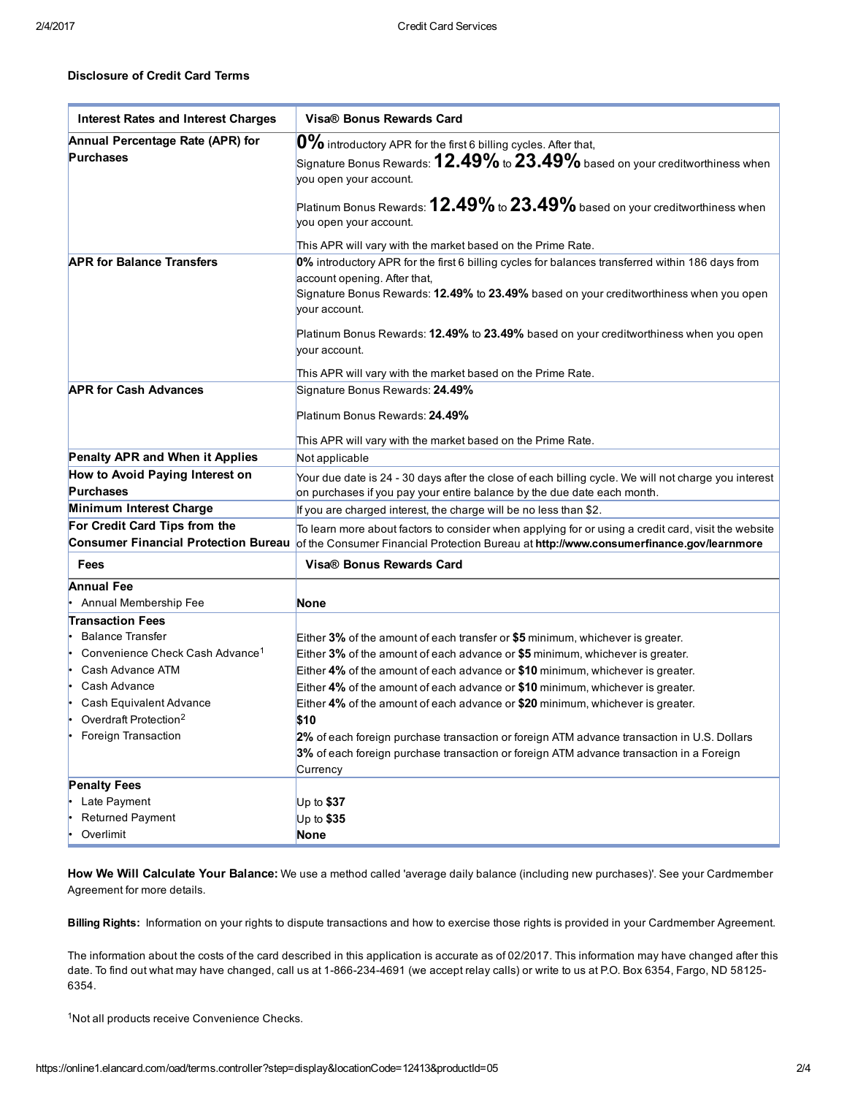## Disclosure of Credit Card Terms

| <b>Interest Rates and Interest Charges</b>           | Visa® Bonus Rewards Card                                                                                                                                                                                                                    |
|------------------------------------------------------|---------------------------------------------------------------------------------------------------------------------------------------------------------------------------------------------------------------------------------------------|
| Annual Percentage Rate (APR) for<br><b>Purchases</b> | $ 0\%$ introductory APR for the first 6 billing cycles. After that,<br>Signature Bonus Rewards: ${\bf 12.49\%}$ to ${\bf 23.49\%}$ based on your creditworthiness when<br>you open your account.                                            |
|                                                      | Platinum Bonus Rewards: <b>12.49%</b> to $23.49\%$ based on your creditworthiness when<br>you open your account.                                                                                                                            |
|                                                      | This APR will vary with the market based on the Prime Rate.                                                                                                                                                                                 |
| <b>APR for Balance Transfers</b>                     | 0% introductory APR for the first 6 billing cycles for balances transferred within 186 days from<br>account opening. After that,<br>Signature Bonus Rewards: 12.49% to 23.49% based on your creditworthiness when you open<br>your account. |
|                                                      | Platinum Bonus Rewards: 12.49% to 23.49% based on your creditworthiness when you open<br>vour account.                                                                                                                                      |
|                                                      | This APR will vary with the market based on the Prime Rate.                                                                                                                                                                                 |
| <b>APR for Cash Advances</b>                         | Signature Bonus Rewards: 24.49%                                                                                                                                                                                                             |
|                                                      | Platinum Bonus Rewards: 24.49%                                                                                                                                                                                                              |
|                                                      | This APR will vary with the market based on the Prime Rate.                                                                                                                                                                                 |
| Penalty APR and When it Applies                      | Not applicable                                                                                                                                                                                                                              |
| How to Avoid Paying Interest on<br><b>Purchases</b>  | Your due date is 24 - 30 days after the close of each billing cycle. We will not charge you interest<br>on purchases if you pay your entire balance by the due date each month.                                                             |
| Minimum Interest Charge                              | If you are charged interest, the charge will be no less than \$2.                                                                                                                                                                           |
| For Credit Card Tips from the                        | To learn more about factors to consider when applying for or using a credit card, visit the website                                                                                                                                         |
| <b>Consumer Financial Protection Bureau</b>          | of the Consumer Financial Protection Bureau at http://www.consumerfinance.gov/learnmore                                                                                                                                                     |
| <b>Fees</b>                                          | Visa® Bonus Rewards Card                                                                                                                                                                                                                    |
| <b>Annual Fee</b>                                    |                                                                                                                                                                                                                                             |
| Annual Membership Fee                                | <b>None</b>                                                                                                                                                                                                                                 |
| <b>Transaction Fees</b>                              |                                                                                                                                                                                                                                             |
| <b>Balance Transfer</b>                              | Either 3% of the amount of each transfer or \$5 minimum, whichever is greater.                                                                                                                                                              |
| Convenience Check Cash Advance <sup>1</sup><br>۱۰    | Either $3\%$ of the amount of each advance or $$5$ minimum, whichever is greater.                                                                                                                                                           |
| Cash Advance ATM                                     | Either 4% of the amount of each advance or \$10 minimum, whichever is greater.                                                                                                                                                              |
| Cash Advance                                         | Either 4% of the amount of each advance or \$10 minimum, whichever is greater.                                                                                                                                                              |
| Cash Equivalent Advance                              | Either 4% of the amount of each advance or \$20 minimum, whichever is greater.                                                                                                                                                              |
| Overdraft Protection <sup>2</sup><br>ŀ               | \$10                                                                                                                                                                                                                                        |
| Foreign Transaction                                  | 2% of each foreign purchase transaction or foreign ATM advance transaction in U.S. Dollars                                                                                                                                                  |
|                                                      | 3% of each foreign purchase transaction or foreign ATM advance transaction in a Foreign                                                                                                                                                     |
|                                                      | Currency                                                                                                                                                                                                                                    |
| <b>Penalty Fees</b>                                  |                                                                                                                                                                                                                                             |
| Late Payment                                         | Up to $$37$                                                                                                                                                                                                                                 |
| <b>Returned Payment</b>                              | Up to \$35                                                                                                                                                                                                                                  |
| Overlimit                                            | None                                                                                                                                                                                                                                        |

How We Will Calculate Your Balance: We use a method called 'average daily balance (including new purchases)'. See your Cardmember Agreement for more details.

Billing Rights: Information on your rights to dispute transactions and how to exercise those rights is provided in your Cardmember Agreement.

The information about the costs of the card described in this application is accurate as of 02/2017. This information may have changed after this date. To find out what may have changed, call us at 1-866-234-4691 (we accept relay calls) or write to us at P.O. Box 6354, Fargo, ND 58125-6354.

<sup>1</sup>Not all products receive Convenience Checks.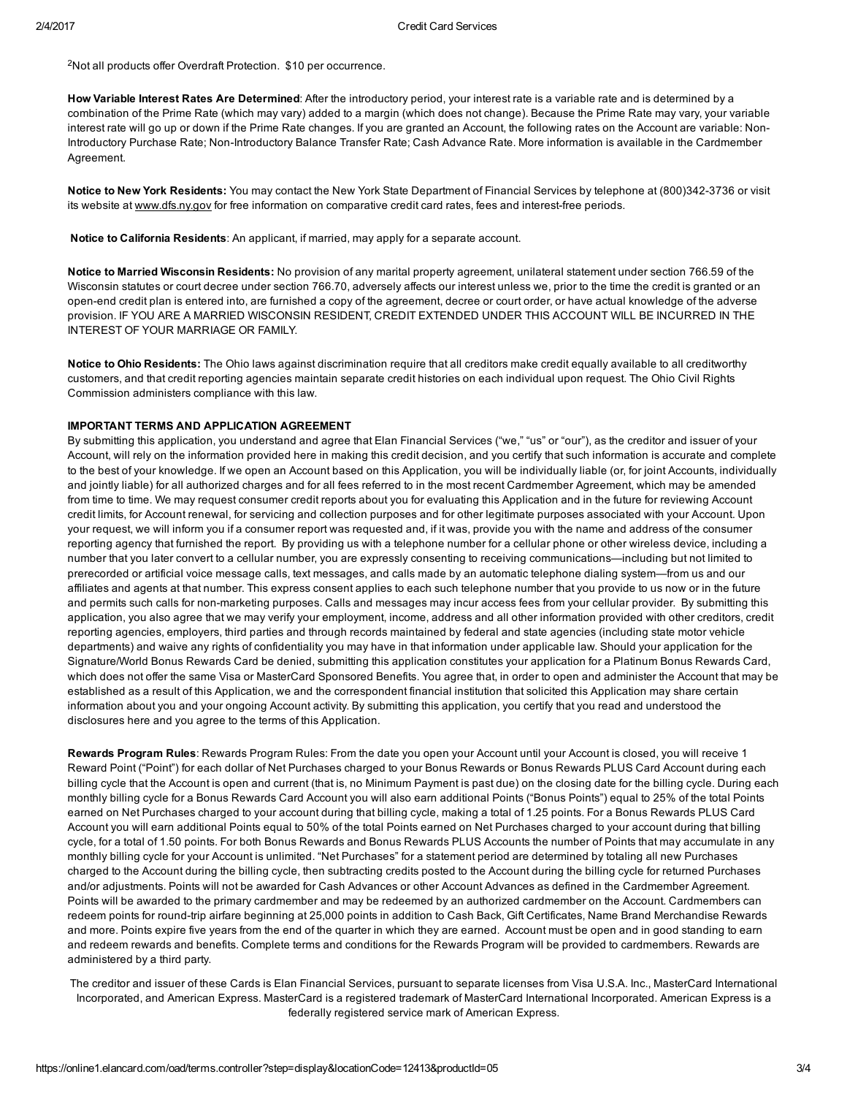<sup>2</sup>Not all products offer Overdraft Protection. \$10 per occurrence.

How Variable Interest Rates Are Determined: After the introductory period, your interest rate is a variable rate and is determined by a combination of the Prime Rate (which may vary) added to a margin (which does not change). Because the Prime Rate may vary, your variable interest rate will go up or down if the Prime Rate changes. If you are granted an Account, the following rates on the Account are variable: Non-Introductory Purchase Rate; Non-Introductory Balance Transfer Rate; Cash Advance Rate. More information is available in the Cardmember Agreement.

Notice to New York Residents: You may contact the New York State Department of Financial Services by telephone at (800)342-3736 or visit its website at [www.dfs.ny.gov](http://www.dfs.ny.gov/) for free information on comparative credit card rates, fees and interest-free periods.

Notice to California Residents: An applicant, if married, may apply for a separate account.

Notice to Married Wisconsin Residents: No provision of any marital property agreement, unilateral statement under section 766.59 of the Wisconsin statutes or court decree under section 766.70, adversely affects our interest unless we, prior to the time the credit is granted or an open-end credit plan is entered into, are furnished a copy of the agreement, decree or court order, or have actual knowledge of the adverse provision. IF YOU ARE A MARRIED WISCONSIN RESIDENT, CREDIT EXTENDED UNDER THIS ACCOUNT WILL BE INCURRED IN THE INTEREST OF YOUR MARRIAGE OR FAMILY.

Notice to Ohio Residents: The Ohio laws against discrimination require that all creditors make credit equally available to all creditworthy customers, and that credit reporting agencies maintain separate credit histories on each individual upon request. The Ohio Civil Rights Commission administers compliance with this law.

### IMPORTANT TERMS AND APPLICATION AGREEMENT

By submitting this application, you understand and agree that Elan Financial Services ("we," "us" or "our"), as the creditor and issuer of your Account, will rely on the information provided here in making this credit decision, and you certify that such information is accurate and complete to the best of your knowledge. If we open an Account based on this Application, you will be individually liable (or, for joint Accounts, individually and jointly liable) for all authorized charges and for all fees referred to in the most recent Cardmember Agreement, which may be amended from time to time. We may request consumer credit reports about you for evaluating this Application and in the future for reviewing Account credit limits, for Account renewal, for servicing and collection purposes and for other legitimate purposes associated with your Account. Upon your request, we will inform you if a consumer report was requested and, if it was, provide you with the name and address of the consumer reporting agency that furnished the report. By providing us with a telephone number for a cellular phone or other wireless device, including a number that you later convert to a cellular number, you are expressly consenting to receiving communications—including but not limited to prerecorded or artificial voice message calls, text messages, and calls made by an automatic telephone dialing system—from us and our affiliates and agents at that number. This express consent applies to each such telephone number that you provide to us now or in the future and permits such calls for non-marketing purposes. Calls and messages may incur access fees from your cellular provider. By submitting this application, you also agree that we may verify your employment, income, address and all other information provided with other creditors, credit reporting agencies, employers, third parties and through records maintained by federal and state agencies (including state motor vehicle departments) and waive any rights of confidentiality you may have in that information under applicable law. Should your application for the Signature/World Bonus Rewards Card be denied, submitting this application constitutes your application for a Platinum Bonus Rewards Card, which does not offer the same Visa or MasterCard Sponsored Benefits. You agree that, in order to open and administer the Account that may be established as a result of this Application, we and the correspondent financial institution that solicited this Application may share certain information about you and your ongoing Account activity. By submitting this application, you certify that you read and understood the disclosures here and you agree to the terms of this Application.

Rewards Program Rules: Rewards Program Rules: From the date you open your Account until your Account is closed, you will receive 1 Reward Point ("Point") for each dollar of Net Purchases charged to your Bonus Rewards or Bonus Rewards PLUS Card Account during each billing cycle that the Account is open and current (that is, no Minimum Payment is past due) on the closing date for the billing cycle. During each monthly billing cycle for a Bonus Rewards Card Account you will also earn additional Points ("Bonus Points") equal to 25% of the total Points earned on Net Purchases charged to your account during that billing cycle, making a total of 1.25 points. For a Bonus Rewards PLUS Card Account you will earn additional Points equal to 50% of the total Points earned on Net Purchases charged to your account during that billing cycle, for a total of 1.50 points. For both Bonus Rewards and Bonus Rewards PLUS Accounts the number of Points that may accumulate in any monthly billing cycle for your Account is unlimited. "Net Purchases" for a statement period are determined by totaling all new Purchases charged to the Account during the billing cycle, then subtracting credits posted to the Account during the billing cycle for returned Purchases and/or adjustments. Points will not be awarded for Cash Advances or other Account Advances as defined in the Cardmember Agreement. Points will be awarded to the primary cardmember and may be redeemed by an authorized cardmember on the Account. Cardmembers can redeem points for round-trip airfare beginning at 25,000 points in addition to Cash Back, Gift Certificates, Name Brand Merchandise Rewards and more. Points expire five years from the end of the quarter in which they are earned. Account must be open and in good standing to earn and redeem rewards and benefits. Complete terms and conditions for the Rewards Program will be provided to cardmembers. Rewards are administered by a third party.

The creditor and issuer of these Cards is Elan Financial Services, pursuant to separate licenses from Visa U.S.A. Inc., MasterCard International Incorporated, and American Express. MasterCard is a registered trademark of MasterCard International Incorporated. American Express is a federally registered service mark of American Express.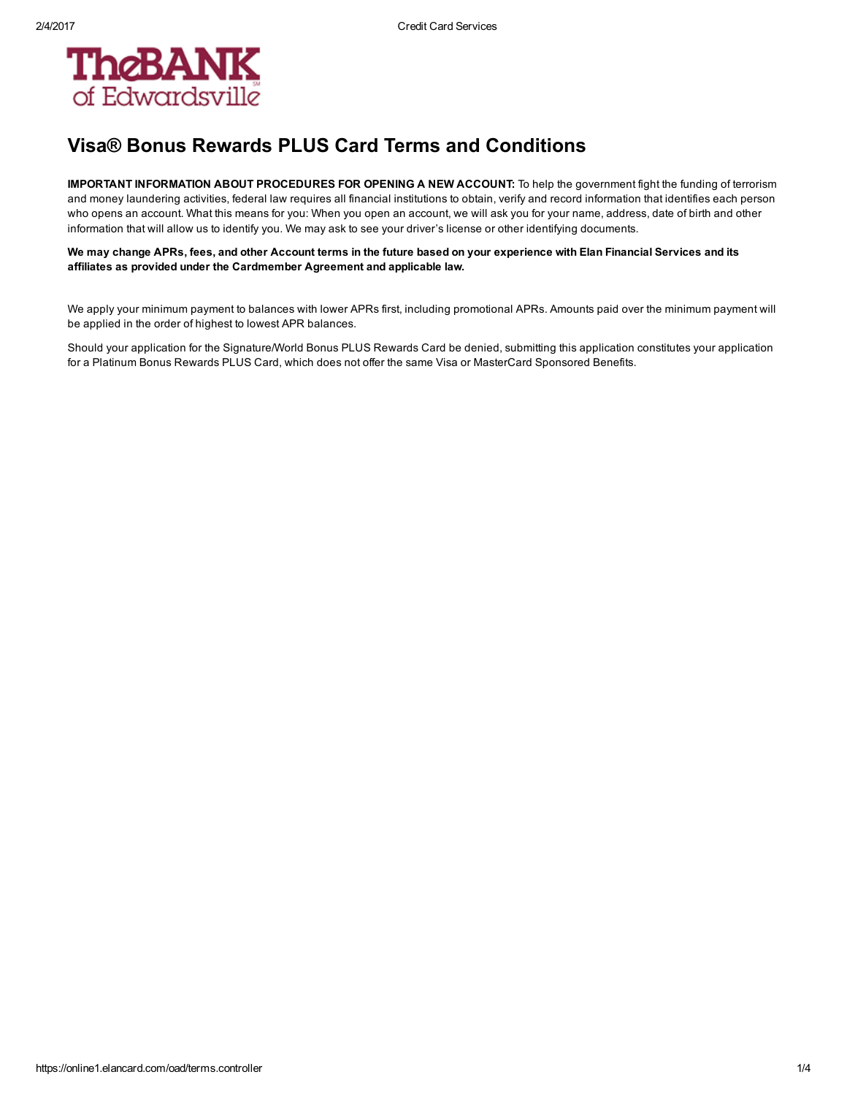

# Visa® Bonus Rewards PLUS Card Terms and Conditions

IMPORTANT INFORMATION ABOUT PROCEDURES FOR OPENING A NEW ACCOUNT: To help the government fight the funding of terrorism and money laundering activities, federal law requires all financial institutions to obtain, verify and record information that identifies each person who opens an account. What this means for you: When you open an account, we will ask you for your name, address, date of birth and other information that will allow us to identify you. We may ask to see your driver's license or other identifying documents.

We may change APRs, fees, and other Account terms in the future based on your experience with Elan Financial Services and its affiliates as provided under the Cardmember Agreement and applicable law.

We apply your minimum payment to balances with lower APRs first, including promotional APRs. Amounts paid over the minimum payment will be applied in the order of highest to lowest APR balances.

Should your application for the Signature/World Bonus PLUS Rewards Card be denied, submitting this application constitutes your application for a Platinum Bonus Rewards PLUS Card, which does not offer the same Visa or MasterCard Sponsored Benefits.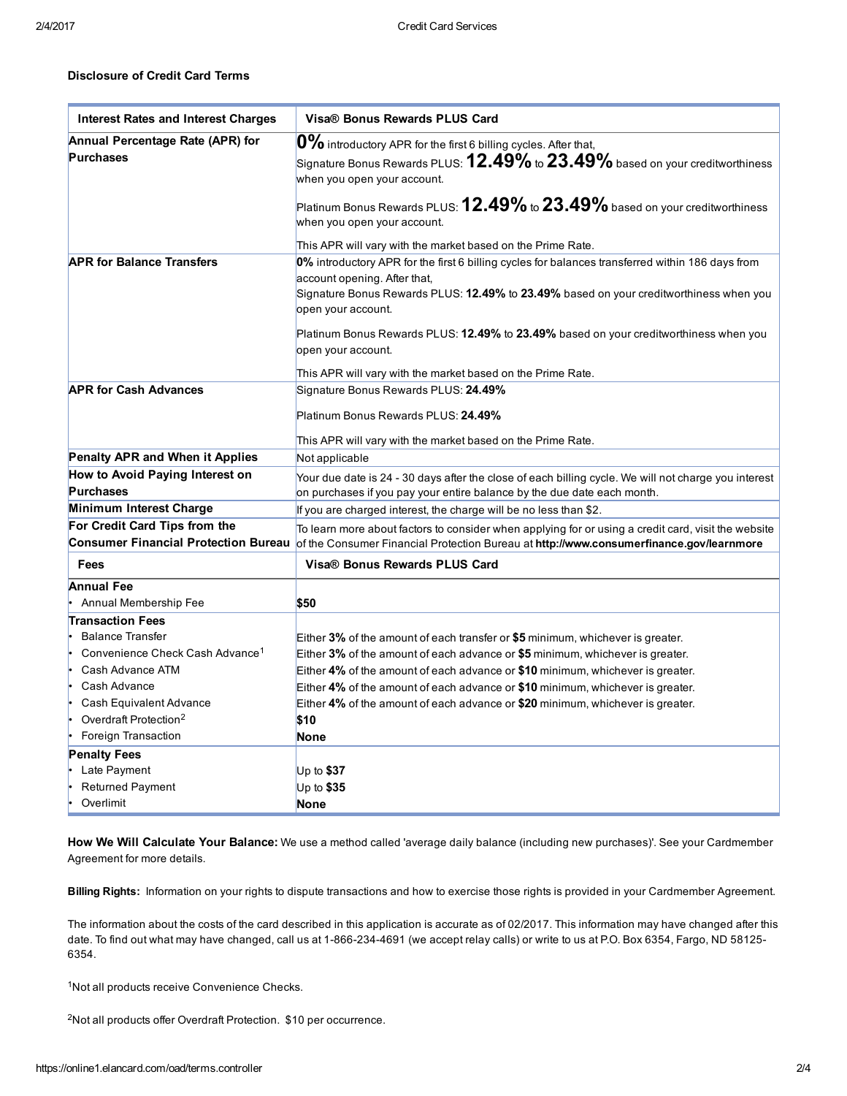### Disclosure of Credit Card Terms

| <b>Interest Rates and Interest Charges</b>           | Visa® Bonus Rewards PLUS Card                                                                                                                                                                  |
|------------------------------------------------------|------------------------------------------------------------------------------------------------------------------------------------------------------------------------------------------------|
| Annual Percentage Rate (APR) for<br><b>Purchases</b> | 0% introductory APR for the first 6 billing cycles. After that,<br>$ _{\text{Sigma}}$ Bonus Rewards PLUS: $12.49\%$ to $23.49\%$ based on your creditworthiness<br>when you open your account. |
|                                                      | Platinum Bonus Rewards PLUS: $12.49\%$ to $23.49\%$ based on your creditworthiness<br>when you open your account.                                                                              |
|                                                      | This APR will vary with the market based on the Prime Rate.                                                                                                                                    |
| <b>APR for Balance Transfers</b>                     | 0% introductory APR for the first 6 billing cycles for balances transferred within 186 days from                                                                                               |
|                                                      | account opening. After that,                                                                                                                                                                   |
|                                                      | Signature Bonus Rewards PLUS: 12.49% to 23.49% based on your creditworthiness when you<br>open your account.                                                                                   |
|                                                      | Platinum Bonus Rewards PLUS: 12.49% to 23.49% based on your creditworthiness when you                                                                                                          |
|                                                      | open your account.                                                                                                                                                                             |
|                                                      | This APR will vary with the market based on the Prime Rate.                                                                                                                                    |
| <b>APR for Cash Advances</b>                         | Signature Bonus Rewards PLUS: 24.49%                                                                                                                                                           |
|                                                      |                                                                                                                                                                                                |
|                                                      | Platinum Bonus Rewards PLUS: 24.49%                                                                                                                                                            |
|                                                      | This APR will vary with the market based on the Prime Rate.                                                                                                                                    |
| Penalty APR and When it Applies                      | Not applicable                                                                                                                                                                                 |
| How to Avoid Paying Interest on<br><b>Purchases</b>  | Your due date is 24 - 30 days after the close of each billing cycle. We will not charge you interest<br>on purchases if you pay your entire balance by the due date each month.                |
| <b>Minimum Interest Charge</b>                       | If you are charged interest, the charge will be no less than \$2.                                                                                                                              |
| For Credit Card Tips from the                        | $ \mathsf{\bar{I}}$ o learn more about factors to consider when applying for or using a credit card, visit the website                                                                         |
| <b>Consumer Financial Protection Bureau</b>          | of the Consumer Financial Protection Bureau at http://www.consumerfinance.gov/learnmore                                                                                                        |
| Fees                                                 | Visa® Bonus Rewards PLUS Card                                                                                                                                                                  |
| <b>Annual Fee</b>                                    |                                                                                                                                                                                                |
| Annual Membership Fee                                | \$50                                                                                                                                                                                           |
| <b>Transaction Fees</b>                              |                                                                                                                                                                                                |
| <b>Balance Transfer</b>                              | Either $3\%$ of the amount of each transfer or \$5 minimum, whichever is greater.                                                                                                              |
| Convenience Check Cash Advance <sup>1</sup><br>l.    | Either 3% of the amount of each advance or \$5 minimum, whichever is greater.                                                                                                                  |
| Cash Advance ATM<br>l.                               | Either 4% of the amount of each advance or \$10 minimum, whichever is greater.                                                                                                                 |
| Cash Advance                                         | Either 4% of the amount of each advance or \$10 minimum, whichever is greater.                                                                                                                 |
| Cash Equivalent Advance                              | Either 4% of the amount of each advance or \$20 minimum, whichever is greater.                                                                                                                 |
| Overdraft Protection <sup>2</sup><br>l.              | \$10                                                                                                                                                                                           |
| Foreign Transaction                                  | None                                                                                                                                                                                           |
| <b>Penalty Fees</b>                                  |                                                                                                                                                                                                |
| Late Payment                                         | Up to $$37$                                                                                                                                                                                    |
| Returned Payment                                     | Up to $$35$                                                                                                                                                                                    |
| Overlimit                                            | <b>None</b>                                                                                                                                                                                    |

How We Will Calculate Your Balance: We use a method called 'average daily balance (including new purchases)'. See your Cardmember Agreement for more details.

Billing Rights: Information on your rights to dispute transactions and how to exercise those rights is provided in your Cardmember Agreement.

The information about the costs of the card described in this application is accurate as of 02/2017. This information may have changed after this date. To find out what may have changed, call us at 1-866-234-4691 (we accept relay calls) or write to us at P.O. Box 6354, Fargo, ND 58125-6354.

<sup>1</sup>Not all products receive Convenience Checks.

<sup>2</sup>Not all products offer Overdraft Protection. \$10 per occurrence.